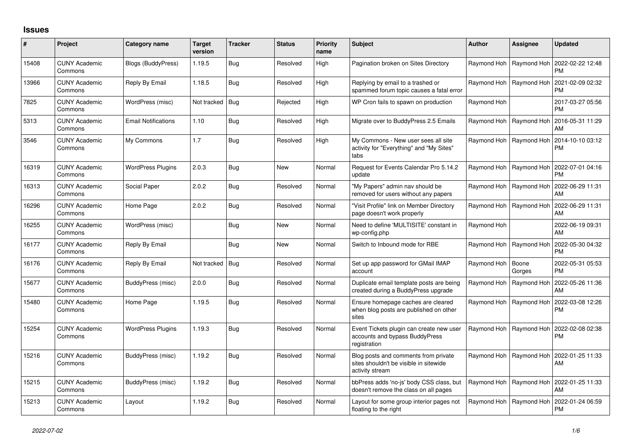## **Issues**

| #     | Project                         | Category name              | <b>Target</b><br>version | <b>Tracker</b> | <b>Status</b> | <b>Priority</b><br>name | <b>Subject</b>                                                                                    | Author      | Assignee                  | <b>Updated</b>                |
|-------|---------------------------------|----------------------------|--------------------------|----------------|---------------|-------------------------|---------------------------------------------------------------------------------------------------|-------------|---------------------------|-------------------------------|
| 15408 | <b>CUNY Academic</b><br>Commons | <b>Blogs (BuddyPress)</b>  | 1.19.5                   | Bug            | Resolved      | High                    | Pagination broken on Sites Directory                                                              |             | Raymond Hoh   Raymond Hoh | 2022-02-22 12:48<br><b>PM</b> |
| 13966 | <b>CUNY Academic</b><br>Commons | Reply By Email             | 1.18.5                   | <b>Bug</b>     | Resolved      | High                    | Replying by email to a trashed or<br>spammed forum topic causes a fatal error                     |             | Raymond Hoh   Raymond Hoh | 2021-02-09 02:32<br><b>PM</b> |
| 7825  | <b>CUNY Academic</b><br>Commons | WordPress (misc)           | Not tracked   Bug        |                | Rejected      | High                    | WP Cron fails to spawn on production                                                              | Raymond Hoh |                           | 2017-03-27 05:56<br><b>PM</b> |
| 5313  | <b>CUNY Academic</b><br>Commons | <b>Email Notifications</b> | 1.10                     | <b>Bug</b>     | Resolved      | High                    | Migrate over to BuddyPress 2.5 Emails                                                             |             | Raymond Hoh   Raymond Hoh | 2016-05-31 11:29<br>AM        |
| 3546  | <b>CUNY Academic</b><br>Commons | My Commons                 | 1.7                      | <b>Bug</b>     | Resolved      | High                    | My Commons - New user sees all site<br>activity for "Everything" and "My Sites"<br>tabs           |             | Raymond Hoh   Raymond Hoh | 2014-10-10 03:12<br><b>PM</b> |
| 16319 | <b>CUNY Academic</b><br>Commons | <b>WordPress Plugins</b>   | 2.0.3                    | Bug            | <b>New</b>    | Normal                  | Request for Events Calendar Pro 5.14.2<br>update                                                  |             | Raymond Hoh   Raymond Hoh | 2022-07-01 04:16<br><b>PM</b> |
| 16313 | <b>CUNY Academic</b><br>Commons | Social Paper               | 2.0.2                    | Bug            | Resolved      | Normal                  | "My Papers" admin nav should be<br>removed for users without any papers                           |             | Raymond Hoh   Raymond Hoh | 2022-06-29 11:31<br>AM        |
| 16296 | <b>CUNY Academic</b><br>Commons | Home Page                  | 2.0.2                    | Bug            | Resolved      | Normal                  | 'Visit Profile" link on Member Directory<br>page doesn't work properly                            |             | Raymond Hoh   Raymond Hoh | 2022-06-29 11:31<br>AM        |
| 16255 | <b>CUNY Academic</b><br>Commons | WordPress (misc)           |                          | Bug            | <b>New</b>    | Normal                  | Need to define 'MULTISITE' constant in<br>wp-config.php                                           | Raymond Hoh |                           | 2022-06-19 09:31<br>AM        |
| 16177 | <b>CUNY Academic</b><br>Commons | Reply By Email             |                          | Bug            | New           | Normal                  | Switch to Inbound mode for RBE                                                                    | Raymond Hoh | Raymond Hoh               | 2022-05-30 04:32<br><b>PM</b> |
| 16176 | <b>CUNY Academic</b><br>Commons | Reply By Email             | Not tracked   Bug        |                | Resolved      | Normal                  | Set up app password for GMail IMAP<br>account                                                     | Raymond Hoh | Boone<br>Gorges           | 2022-05-31 05:53<br><b>PM</b> |
| 15677 | <b>CUNY Academic</b><br>Commons | BuddyPress (misc)          | 2.0.0                    | <b>Bug</b>     | Resolved      | Normal                  | Duplicate email template posts are being<br>created during a BuddyPress upgrade                   |             | Raymond Hoh   Raymond Hoh | 2022-05-26 11:36<br>AM        |
| 15480 | <b>CUNY Academic</b><br>Commons | Home Page                  | 1.19.5                   | <b>Bug</b>     | Resolved      | Normal                  | Ensure homepage caches are cleared<br>when blog posts are published on other<br>sites             |             | Raymond Hoh   Raymond Hoh | 2022-03-08 12:26<br><b>PM</b> |
| 15254 | <b>CUNY Academic</b><br>Commons | <b>WordPress Plugins</b>   | 1.19.3                   | Bug            | Resolved      | Normal                  | Event Tickets plugin can create new user<br>accounts and bypass BuddyPress<br>registration        |             | Raymond Hoh   Raymond Hoh | 2022-02-08 02:38<br><b>PM</b> |
| 15216 | <b>CUNY Academic</b><br>Commons | BuddyPress (misc)          | 1.19.2                   | <b>Bug</b>     | Resolved      | Normal                  | Blog posts and comments from private<br>sites shouldn't be visible in sitewide<br>activity stream |             | Raymond Hoh   Raymond Hoh | 2022-01-25 11:33<br>AM        |
| 15215 | <b>CUNY Academic</b><br>Commons | BuddyPress (misc)          | 1.19.2                   | Bug            | Resolved      | Normal                  | bbPress adds 'no-js' body CSS class, but<br>doesn't remove the class on all pages                 |             | Raymond Hoh   Raymond Hoh | 2022-01-25 11:33<br>AM        |
| 15213 | <b>CUNY Academic</b><br>Commons | Layout                     | 1.19.2                   | Bug            | Resolved      | Normal                  | Layout for some group interior pages not<br>floating to the right                                 |             | Raymond Hoh   Raymond Hoh | 2022-01-24 06:59<br><b>PM</b> |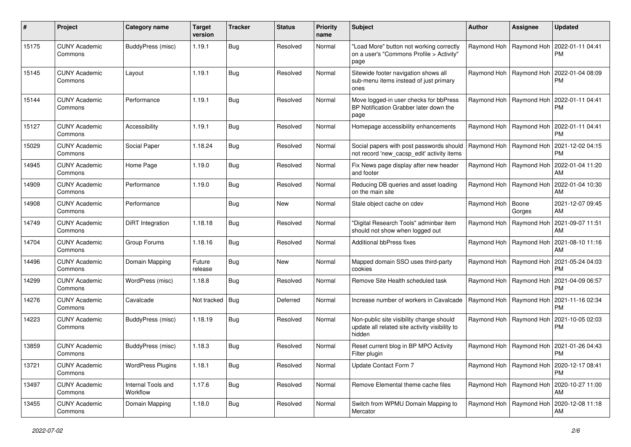| #     | Project                         | Category name                  | <b>Target</b><br>version | <b>Tracker</b> | <b>Status</b> | <b>Priority</b><br>name | <b>Subject</b>                                                                                       | <b>Author</b> | Assignee                  | <b>Updated</b>                                            |
|-------|---------------------------------|--------------------------------|--------------------------|----------------|---------------|-------------------------|------------------------------------------------------------------------------------------------------|---------------|---------------------------|-----------------------------------------------------------|
| 15175 | <b>CUNY Academic</b><br>Commons | BuddyPress (misc)              | 1.19.1                   | <b>Bug</b>     | Resolved      | Normal                  | "Load More" button not working correctly<br>on a user's "Commons Profile > Activity"<br>page         |               | Raymond Hoh   Raymond Hoh | 2022-01-11 04:41<br><b>PM</b>                             |
| 15145 | <b>CUNY Academic</b><br>Commons | Layout                         | 1.19.1                   | Bug            | Resolved      | Normal                  | Sitewide footer navigation shows all<br>sub-menu items instead of just primary<br>ones               |               | Raymond Hoh   Raymond Hoh | 2022-01-04 08:09<br><b>PM</b>                             |
| 15144 | <b>CUNY Academic</b><br>Commons | Performance                    | 1.19.1                   | Bug            | Resolved      | Normal                  | Move logged-in user checks for bbPress<br>BP Notification Grabber later down the<br>page             |               | Raymond Hoh   Raymond Hoh | 2022-01-11 04:41<br>PM                                    |
| 15127 | <b>CUNY Academic</b><br>Commons | Accessibility                  | 1.19.1                   | <b>Bug</b>     | Resolved      | Normal                  | Homepage accessibility enhancements                                                                  |               | Raymond Hoh   Raymond Hoh | 2022-01-11 04:41<br>PM                                    |
| 15029 | <b>CUNY Academic</b><br>Commons | Social Paper                   | 1.18.24                  | <b>Bug</b>     | Resolved      | Normal                  | Social papers with post passwords should<br>not record 'new_cacsp_edit' activity items               |               | Raymond Hoh   Raymond Hoh | 2021-12-02 04:15<br><b>PM</b>                             |
| 14945 | <b>CUNY Academic</b><br>Commons | Home Page                      | 1.19.0                   | <b>Bug</b>     | Resolved      | Normal                  | Fix News page display after new header<br>and footer                                                 |               | Raymond Hoh   Raymond Hoh | 2022-01-04 11:20<br>AM                                    |
| 14909 | <b>CUNY Academic</b><br>Commons | Performance                    | 1.19.0                   | Bug            | Resolved      | Normal                  | Reducing DB queries and asset loading<br>on the main site                                            |               | Raymond Hoh   Raymond Hoh | 2022-01-04 10:30<br>AM                                    |
| 14908 | <b>CUNY Academic</b><br>Commons | Performance                    |                          | Bug            | New           | Normal                  | Stale object cache on cdev                                                                           | Raymond Hoh   | Boone<br>Gorges           | 2021-12-07 09:45<br>AM                                    |
| 14749 | <b>CUNY Academic</b><br>Commons | <b>DiRT</b> Integration        | 1.18.18                  | Bug            | Resolved      | Normal                  | "Digital Research Tools" adminbar item<br>should not show when logged out                            |               | Raymond Hoh   Raymond Hoh | 2021-09-07 11:51<br>AM                                    |
| 14704 | <b>CUNY Academic</b><br>Commons | Group Forums                   | 1.18.16                  | Bug            | Resolved      | Normal                  | Additional bbPress fixes                                                                             |               | Raymond Hoh   Raymond Hoh | 2021-08-10 11:16<br>AM                                    |
| 14496 | <b>CUNY Academic</b><br>Commons | Domain Mapping                 | Future<br>release        | <b>Bug</b>     | New           | Normal                  | Mapped domain SSO uses third-party<br>cookies                                                        |               | Raymond Hoh   Raymond Hoh | 2021-05-24 04:03<br><b>PM</b>                             |
| 14299 | <b>CUNY Academic</b><br>Commons | WordPress (misc)               | 1.18.8                   | <b>Bug</b>     | Resolved      | Normal                  | Remove Site Health scheduled task                                                                    |               | Raymond Hoh   Raymond Hoh | 2021-04-09 06:57<br><b>PM</b>                             |
| 14276 | <b>CUNY Academic</b><br>Commons | Cavalcade                      | Not tracked   Bug        |                | Deferred      | Normal                  | Increase number of workers in Cavalcade                                                              |               | Raymond Hoh   Raymond Hoh | 2021-11-16 02:34<br><b>PM</b>                             |
| 14223 | <b>CUNY Academic</b><br>Commons | BuddyPress (misc)              | 1.18.19                  | Bug            | Resolved      | Normal                  | Non-public site visibility change should<br>update all related site activity visibility to<br>hidden |               | Raymond Hoh   Raymond Hoh | 2021-10-05 02:03<br><b>PM</b>                             |
| 13859 | <b>CUNY Academic</b><br>Commons | BuddyPress (misc)              | 1.18.3                   | <b>Bug</b>     | Resolved      | Normal                  | Reset current blog in BP MPO Activity<br>Filter plugin                                               | Raymond Hoh   | Raymond Hoh               | 2021-01-26 04:43<br><b>PM</b>                             |
| 13721 | <b>CUNY Academic</b><br>Commons | <b>WordPress Plugins</b>       | 1.18.1                   | <b>Bug</b>     | Resolved      | Normal                  | Update Contact Form 7                                                                                |               |                           | Raymond Hoh   Raymond Hoh   2020-12-17 08:41<br><b>PM</b> |
| 13497 | <b>CUNY Academic</b><br>Commons | Internal Tools and<br>Workflow | 1.17.6                   | <b>Bug</b>     | Resolved      | Normal                  | Remove Elemental theme cache files                                                                   |               |                           | Raymond Hoh   Raymond Hoh   2020-10-27 11:00<br>AM        |
| 13455 | <b>CUNY Academic</b><br>Commons | Domain Mapping                 | 1.18.0                   | <b>Bug</b>     | Resolved      | Normal                  | Switch from WPMU Domain Mapping to<br>Mercator                                                       |               | Raymond Hoh   Raymond Hoh | 2020-12-08 11:18<br>AM                                    |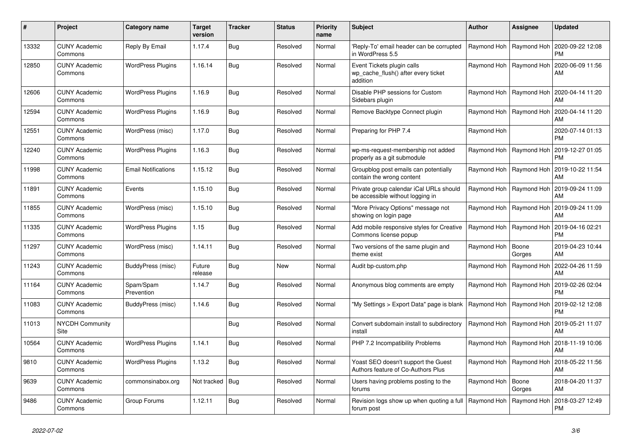| #     | Project                         | Category name              | <b>Target</b><br>version | <b>Tracker</b> | <b>Status</b> | <b>Priority</b><br>name | <b>Subject</b>                                                                | <b>Author</b>             | Assignee                  | Updated                       |
|-------|---------------------------------|----------------------------|--------------------------|----------------|---------------|-------------------------|-------------------------------------------------------------------------------|---------------------------|---------------------------|-------------------------------|
| 13332 | <b>CUNY Academic</b><br>Commons | Reply By Email             | 1.17.4                   | <b>Bug</b>     | Resolved      | Normal                  | Reply-To' email header can be corrupted<br>in WordPress 5.5                   | Raymond Hoh   Raymond Hoh |                           | 2020-09-22 12:08<br><b>PM</b> |
| 12850 | <b>CUNY Academic</b><br>Commons | <b>WordPress Plugins</b>   | 1.16.14                  | Bug            | Resolved      | Normal                  | Event Tickets plugin calls<br>wp_cache_flush() after every ticket<br>addition | Raymond Hoh               | Raymond Hoh               | 2020-06-09 11:56<br>AM        |
| 12606 | <b>CUNY Academic</b><br>Commons | <b>WordPress Plugins</b>   | 1.16.9                   | Bug            | Resolved      | Normal                  | Disable PHP sessions for Custom<br>Sidebars plugin                            |                           | Raymond Hoh   Raymond Hoh | 2020-04-14 11:20<br>AM        |
| 12594 | <b>CUNY Academic</b><br>Commons | <b>WordPress Plugins</b>   | 1.16.9                   | Bug            | Resolved      | Normal                  | Remove Backtype Connect plugin                                                |                           | Raymond Hoh   Raymond Hoh | 2020-04-14 11:20<br>AM        |
| 12551 | <b>CUNY Academic</b><br>Commons | WordPress (misc)           | 1.17.0                   | Bug            | Resolved      | Normal                  | Preparing for PHP 7.4                                                         | Raymond Hoh               |                           | 2020-07-14 01:13<br><b>PM</b> |
| 12240 | <b>CUNY Academic</b><br>Commons | <b>WordPress Plugins</b>   | 1.16.3                   | Bug            | Resolved      | Normal                  | wp-ms-request-membership not added<br>properly as a git submodule             |                           | Raymond Hoh   Raymond Hoh | 2019-12-27 01:05<br>PM        |
| 11998 | <b>CUNY Academic</b><br>Commons | <b>Email Notifications</b> | 1.15.12                  | <b>Bug</b>     | Resolved      | Normal                  | Groupblog post emails can potentially<br>contain the wrong content            |                           | Raymond Hoh   Raymond Hoh | 2019-10-22 11:54<br>AM        |
| 11891 | <b>CUNY Academic</b><br>Commons | Events                     | 1.15.10                  | Bug            | Resolved      | Normal                  | Private group calendar iCal URLs should<br>be accessible without logging in   | Raymond Hoh               | Raymond Hoh               | 2019-09-24 11:09<br>AM        |
| 11855 | <b>CUNY Academic</b><br>Commons | WordPress (misc)           | 1.15.10                  | Bug            | Resolved      | Normal                  | "More Privacy Options" message not<br>showing on login page                   |                           | Raymond Hoh   Raymond Hoh | 2019-09-24 11:09<br>AM        |
| 11335 | <b>CUNY Academic</b><br>Commons | <b>WordPress Plugins</b>   | 1.15                     | <b>Bug</b>     | Resolved      | Normal                  | Add mobile responsive styles for Creative<br>Commons license popup            | Raymond Hoh   Raymond Hoh |                           | 2019-04-16 02:21<br>PM        |
| 11297 | <b>CUNY Academic</b><br>Commons | WordPress (misc)           | 1.14.11                  | Bug            | Resolved      | Normal                  | Two versions of the same plugin and<br>theme exist                            | Raymond Hoh               | Boone<br>Gorges           | 2019-04-23 10:44<br>AM        |
| 11243 | <b>CUNY Academic</b><br>Commons | BuddyPress (misc)          | Future<br>release        | <b>Bug</b>     | New           | Normal                  | Audit bp-custom.php                                                           | Raymond Hoh               | Raymond Hoh               | 2022-04-26 11:59<br>AM        |
| 11164 | <b>CUNY Academic</b><br>Commons | Spam/Spam<br>Prevention    | 1.14.7                   | Bug            | Resolved      | Normal                  | Anonymous blog comments are empty                                             |                           | Raymond Hoh   Raymond Hoh | 2019-02-26 02:04<br>PM        |
| 11083 | <b>CUNY Academic</b><br>Commons | BuddyPress (misc)          | 1.14.6                   | Bug            | Resolved      | Normal                  | "My Settings > Export Data" page is blank                                     | Raymond Hoh               | Raymond Hoh               | 2019-02-12 12:08<br>PM        |
| 11013 | <b>NYCDH Community</b><br>Site  |                            |                          | <b>Bug</b>     | Resolved      | Normal                  | Convert subdomain install to subdirectory<br>install                          |                           | Raymond Hoh   Raymond Hoh | 2019-05-21 11:07<br>AM        |
| 10564 | <b>CUNY Academic</b><br>Commons | <b>WordPress Plugins</b>   | 1.14.1                   | Bug            | Resolved      | Normal                  | PHP 7.2 Incompatibility Problems                                              |                           | Raymond Hoh   Raymond Hoh | 2018-11-19 10:06<br>AM        |
| 9810  | <b>CUNY Academic</b><br>Commons | <b>WordPress Plugins</b>   | 1.13.2                   | <b>Bug</b>     | Resolved      | Normal                  | Yoast SEO doesn't support the Guest<br>Authors feature of Co-Authors Plus     | Raymond Hoh               | Raymond Hoh               | 2018-05-22 11:56<br>AM        |
| 9639  | <b>CUNY Academic</b><br>Commons | commonsinabox.org          | Not tracked   Bug        |                | Resolved      | Normal                  | Users having problems posting to the<br>forums                                | Raymond Hoh               | Boone<br>Gorges           | 2018-04-20 11:37<br>AM        |
| 9486  | <b>CUNY Academic</b><br>Commons | Group Forums               | 1.12.11                  | Bug            | Resolved      | Normal                  | Revision logs show up when quoting a full<br>forum post                       | Raymond Hoh               | Raymond Hoh               | 2018-03-27 12:49<br><b>PM</b> |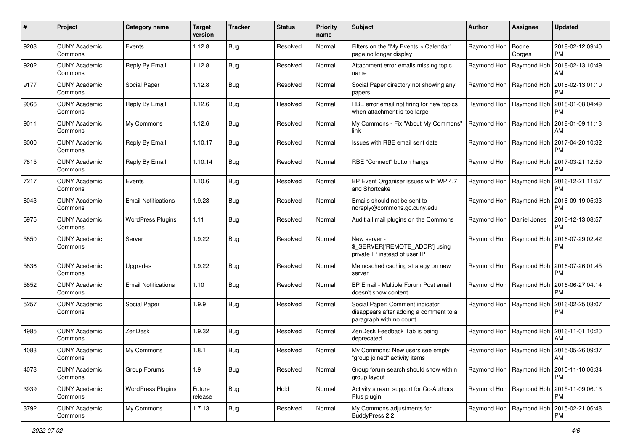| #    | Project                         | Category name              | <b>Target</b><br>version | <b>Tracker</b> | <b>Status</b> | <b>Priority</b><br>name | Subject                                                                                              | <b>Author</b>             | Assignee                  | <b>Updated</b>                                            |
|------|---------------------------------|----------------------------|--------------------------|----------------|---------------|-------------------------|------------------------------------------------------------------------------------------------------|---------------------------|---------------------------|-----------------------------------------------------------|
| 9203 | <b>CUNY Academic</b><br>Commons | Events                     | 1.12.8                   | Bug            | Resolved      | Normal                  | Filters on the "My Events > Calendar"<br>page no longer display                                      | Raymond Hoh               | Boone<br>Gorges           | 2018-02-12 09:40<br>PM.                                   |
| 9202 | <b>CUNY Academic</b><br>Commons | Reply By Email             | 1.12.8                   | Bug            | Resolved      | Normal                  | Attachment error emails missing topic<br>name                                                        | Raymond Hoh               | Raymond Hoh               | 2018-02-13 10:49<br>AM                                    |
| 9177 | CUNY Academic<br>Commons        | Social Paper               | 1.12.8                   | Bug            | Resolved      | Normal                  | Social Paper directory not showing any<br>papers                                                     | Raymond Hoh               | Raymond Hoh               | 2018-02-13 01:10<br><b>PM</b>                             |
| 9066 | <b>CUNY Academic</b><br>Commons | Reply By Email             | 1.12.6                   | Bug            | Resolved      | Normal                  | RBE error email not firing for new topics<br>when attachment is too large                            | Raymond Hoh               | Raymond Hoh               | 2018-01-08 04:49<br><b>PM</b>                             |
| 9011 | <b>CUNY Academic</b><br>Commons | My Commons                 | 1.12.6                   | Bug            | Resolved      | Normal                  | My Commons - Fix "About My Commons"<br>link                                                          | Raymond Hoh   Raymond Hoh |                           | 2018-01-09 11:13<br>AM                                    |
| 8000 | <b>CUNY Academic</b><br>Commons | Reply By Email             | 1.10.17                  | Bug            | Resolved      | Normal                  | Issues with RBE email sent date                                                                      |                           | Raymond Hoh   Raymond Hoh | 2017-04-20 10:32<br><b>PM</b>                             |
| 7815 | <b>CUNY Academic</b><br>Commons | Reply By Email             | 1.10.14                  | Bug            | Resolved      | Normal                  | RBE "Connect" button hangs                                                                           | Raymond Hoh   Raymond Hoh |                           | 2017-03-21 12:59<br><b>PM</b>                             |
| 7217 | <b>CUNY Academic</b><br>Commons | Events                     | 1.10.6                   | Bug            | Resolved      | Normal                  | BP Event Organiser issues with WP 4.7<br>and Shortcake                                               | Raymond Hoh   Raymond Hoh |                           | 2016-12-21 11:57<br><b>PM</b>                             |
| 6043 | <b>CUNY Academic</b><br>Commons | <b>Email Notifications</b> | 1.9.28                   | Bug            | Resolved      | Normal                  | Emails should not be sent to<br>noreply@commons.gc.cuny.edu                                          | Raymond Hoh   Raymond Hoh |                           | 2016-09-19 05:33<br><b>PM</b>                             |
| 5975 | CUNY Academic<br>Commons        | <b>WordPress Plugins</b>   | 1.11                     | Bug            | Resolved      | Normal                  | Audit all mail plugins on the Commons                                                                | Raymond Hoh               | Daniel Jones              | 2016-12-13 08:57<br><b>PM</b>                             |
| 5850 | <b>CUNY Academic</b><br>Commons | Server                     | 1.9.22                   | Bug            | Resolved      | Normal                  | New server -<br>\$_SERVER['REMOTE_ADDR'] using<br>private IP instead of user IP                      | Raymond Hoh   Raymond Hoh |                           | 2016-07-29 02:42<br><b>PM</b>                             |
| 5836 | <b>CUNY Academic</b><br>Commons | Upgrades                   | 1.9.22                   | Bug            | Resolved      | Normal                  | Memcached caching strategy on new<br>server                                                          | Raymond Hoh               | Raymond Hoh               | 2016-07-26 01:45<br><b>PM</b>                             |
| 5652 | <b>CUNY Academic</b><br>Commons | <b>Email Notifications</b> | 1.10                     | Bug            | Resolved      | Normal                  | BP Email - Multiple Forum Post email<br>doesn't show content                                         | Raymond Hoh   Raymond Hoh |                           | 2016-06-27 04:14<br><b>PM</b>                             |
| 5257 | <b>CUNY Academic</b><br>Commons | Social Paper               | 1.9.9                    | Bug            | Resolved      | Normal                  | Social Paper: Comment indicator<br>disappears after adding a comment to a<br>paragraph with no count | Raymond Hoh   Raymond Hoh |                           | 2016-02-25 03:07<br><b>PM</b>                             |
| 4985 | <b>CUNY Academic</b><br>Commons | ZenDesk                    | 1.9.32                   | Bug            | Resolved      | Normal                  | ZenDesk Feedback Tab is being<br>deprecated                                                          |                           | Raymond Hoh   Raymond Hoh | 2016-11-01 10:20<br>AM                                    |
| 4083 | <b>CUNY Academic</b><br>Commons | My Commons                 | 1.8.1                    | Bug            | Resolved      | Normal                  | My Commons: New users see empty<br>'group joined" activity items                                     |                           |                           | Raymond Hoh   Raymond Hoh   2015-05-26 09:37<br>AM        |
| 4073 | <b>CUNY Academic</b><br>Commons | Group Forums               | 1.9                      | <b>Bug</b>     | Resolved      | Normal                  | Group forum search should show within<br>group layout                                                | Raymond Hoh   Raymond Hoh |                           | 2015-11-10 06:34<br><b>PM</b>                             |
| 3939 | <b>CUNY Academic</b><br>Commons | <b>WordPress Plugins</b>   | Future<br>release        | <b>Bug</b>     | Hold          | Normal                  | Activity stream support for Co-Authors<br>Plus plugin                                                |                           | Raymond Hoh   Raymond Hoh | 2015-11-09 06:13<br><b>PM</b>                             |
| 3792 | <b>CUNY Academic</b><br>Commons | My Commons                 | 1.7.13                   | Bug            | Resolved      | Normal                  | My Commons adjustments for<br>BuddyPress 2.2                                                         |                           |                           | Raymond Hoh   Raymond Hoh   2015-02-21 06:48<br><b>PM</b> |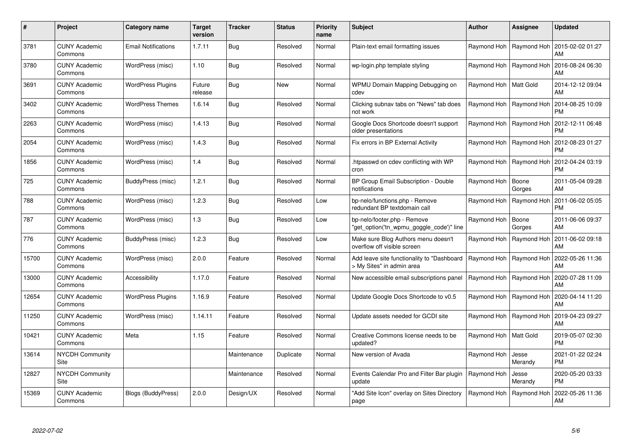| $\#$  | <b>Project</b>                  | Category name              | <b>Target</b><br>version | Tracker     | <b>Status</b> | <b>Priority</b><br>name | <b>Subject</b>                                                          | Author                  | Assignee                  | <b>Updated</b>                |
|-------|---------------------------------|----------------------------|--------------------------|-------------|---------------|-------------------------|-------------------------------------------------------------------------|-------------------------|---------------------------|-------------------------------|
| 3781  | <b>CUNY Academic</b><br>Commons | <b>Email Notifications</b> | 1.7.11                   | <b>Bug</b>  | Resolved      | Normal                  | Plain-text email formatting issues                                      |                         | Raymond Hoh   Raymond Hoh | 2015-02-02 01:27<br>AM        |
| 3780  | <b>CUNY Academic</b><br>Commons | WordPress (misc)           | 1.10                     | Bug         | Resolved      | Normal                  | wp-login.php template styling                                           |                         | Raymond Hoh   Raymond Hoh | 2016-08-24 06:30<br>AM        |
| 3691  | <b>CUNY Academic</b><br>Commons | <b>WordPress Plugins</b>   | Future<br>release        | <b>Bug</b>  | New           | Normal                  | WPMU Domain Mapping Debugging on<br>cdev                                | Raymond Hoh   Matt Gold |                           | 2014-12-12 09:04<br>AM        |
| 3402  | <b>CUNY Academic</b><br>Commons | <b>WordPress Themes</b>    | 1.6.14                   | <b>Bug</b>  | Resolved      | Normal                  | Clicking subnav tabs on "News" tab does<br>not work                     |                         | Raymond Hoh   Raymond Hoh | 2014-08-25 10:09<br><b>PM</b> |
| 2263  | <b>CUNY Academic</b><br>Commons | WordPress (misc)           | 1.4.13                   | <b>Bug</b>  | Resolved      | Normal                  | Google Docs Shortcode doesn't support<br>older presentations            |                         | Raymond Hoh   Raymond Hoh | 2012-12-11 06:48<br><b>PM</b> |
| 2054  | <b>CUNY Academic</b><br>Commons | WordPress (misc)           | 1.4.3                    | <b>Bug</b>  | Resolved      | Normal                  | Fix errors in BP External Activity                                      |                         | Raymond Hoh   Raymond Hoh | 2012-08-23 01:27<br><b>PM</b> |
| 1856  | <b>CUNY Academic</b><br>Commons | WordPress (misc)           | 1.4                      | <b>Bug</b>  | Resolved      | Normal                  | htpasswd on cdev conflicting with WP<br>cron                            |                         | Raymond Hoh   Raymond Hoh | 2012-04-24 03:19<br><b>PM</b> |
| 725   | <b>CUNY Academic</b><br>Commons | BuddyPress (misc)          | 1.2.1                    | <b>Bug</b>  | Resolved      | Normal                  | BP Group Email Subscription - Double<br>notifications                   | Raymond Hoh             | Boone<br>Gorges           | 2011-05-04 09:28<br>AM        |
| 788   | <b>CUNY Academic</b><br>Commons | WordPress (misc)           | 1.2.3                    | <b>Bug</b>  | Resolved      | Low                     | bp-nelo/functions.php - Remove<br>redundant BP textdomain call          |                         | Raymond Hoh   Raymond Hoh | 2011-06-02 05:05<br><b>PM</b> |
| 787   | <b>CUNY Academic</b><br>Commons | WordPress (misc)           | 1.3                      | <b>Bug</b>  | Resolved      | Low                     | bp-nelo/footer.php - Remove<br>get option('tn wpmu goggle code')" line  | Raymond Hoh   Boone     | Gorges                    | 2011-06-06 09:37<br>AM        |
| 776   | <b>CUNY Academic</b><br>Commons | BuddyPress (misc)          | 1.2.3                    | <b>Bug</b>  | Resolved      | Low                     | Make sure Blog Authors menu doesn't<br>overflow off visible screen      | Raymond Hoh             | Raymond Hoh               | 2011-06-02 09:18<br>AM        |
| 15700 | <b>CUNY Academic</b><br>Commons | WordPress (misc)           | 2.0.0                    | Feature     | Resolved      | Normal                  | Add leave site functionality to "Dashboard<br>> My Sites" in admin area |                         | Raymond Hoh   Raymond Hoh | 2022-05-26 11:36<br>AM        |
| 13000 | <b>CUNY Academic</b><br>Commons | Accessibility              | 1.17.0                   | Feature     | Resolved      | Normal                  | New accessible email subscriptions panel                                |                         | Raymond Hoh   Raymond Hoh | 2020-07-28 11:09<br>AM        |
| 12654 | <b>CUNY Academic</b><br>Commons | <b>WordPress Plugins</b>   | 1.16.9                   | Feature     | Resolved      | Normal                  | Update Google Docs Shortcode to v0.5                                    |                         | Raymond Hoh   Raymond Hoh | 2020-04-14 11:20<br>AM        |
| 11250 | <b>CUNY Academic</b><br>Commons | WordPress (misc)           | 1.14.11                  | Feature     | Resolved      | Normal                  | Update assets needed for GCDI site                                      |                         | Raymond Hoh   Raymond Hoh | 2019-04-23 09:27<br>AM        |
| 10421 | <b>CUNY Academic</b><br>Commons | Meta                       | 1.15                     | Feature     | Resolved      | Normal                  | Creative Commons license needs to be<br>updated?                        | Raymond Hoh   Matt Gold |                           | 2019-05-07 02:30<br><b>PM</b> |
| 13614 | <b>NYCDH Community</b><br>Site  |                            |                          | Maintenance | Duplicate     | Normal                  | New version of Avada                                                    | Raymond Hoh             | Jesse<br>Merandy          | 2021-01-22 02:24<br><b>PM</b> |
| 12827 | <b>NYCDH Community</b><br>Site  |                            |                          | Maintenance | Resolved      | Normal                  | Events Calendar Pro and Filter Bar plugin<br>update                     | Raymond Hoh             | Jesse<br>Merandy          | 2020-05-20 03:33<br><b>PM</b> |
| 15369 | <b>CUNY Academic</b><br>Commons | Blogs (BuddyPress)         | 2.0.0                    | Design/UX   | Resolved      | Normal                  | 'Add Site Icon" overlay on Sites Directory<br>page                      | Raymond Hoh             | Raymond Hoh               | 2022-05-26 11:36<br>AM        |